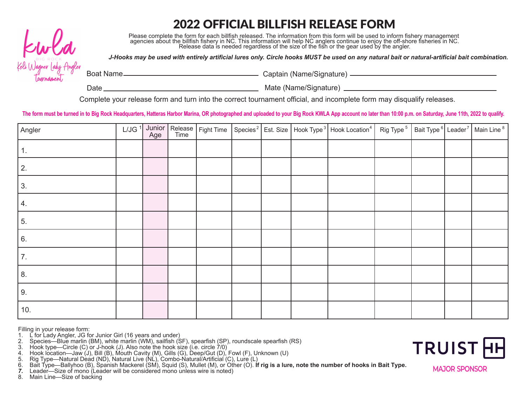# 2022 OFFICIAL BILLFISH RELEASE FORM



Please complete the form for each billfish released. The information from this form will be used to inform fishery management agencies about the billfish fishery in NC. This information will help NC anglers continue to enjoy the off-shore fisheries in NC.<br>Release data is needed regardless of the size of the fish or the gear used by the angler.

*J-Hooks may be used with entirely artificial lures only. Circle hooks MUST be used on any natural bait or natural-artificial bait combination.*

Boat Name Captain (Name/Signature)

Date Mate (Name/Signature)

Complete your release form and turn into the correct tournament official, and incomplete form may disqualify releases.

The form must be turned in to Big Rock Headquarters, Hatteras Harbor Marina, OR photographed and uploaded to your Big Rock KWLA App account no later than 10:00 p.m. on Saturday, June 11th, 2022 to qualify.

| Angler         |  |  |  | L/JG <sup>1</sup> Junior Release Fight Time Species <sup>2</sup> Est. Size Hook Type <sup>3</sup> Hook Location <sup>4</sup> Rig Type <sup>5</sup> Bait Type <sup>6</sup> Leader <sup>7</sup> Main Line <sup>8</sup> |  |  |
|----------------|--|--|--|----------------------------------------------------------------------------------------------------------------------------------------------------------------------------------------------------------------------|--|--|
| $\mathbf{1}$ . |  |  |  |                                                                                                                                                                                                                      |  |  |
| 2.             |  |  |  |                                                                                                                                                                                                                      |  |  |
| 3.             |  |  |  |                                                                                                                                                                                                                      |  |  |
| 4.             |  |  |  |                                                                                                                                                                                                                      |  |  |
| 5.             |  |  |  |                                                                                                                                                                                                                      |  |  |
| 6.             |  |  |  |                                                                                                                                                                                                                      |  |  |
| 7.             |  |  |  |                                                                                                                                                                                                                      |  |  |
| 8.             |  |  |  |                                                                                                                                                                                                                      |  |  |
| 9.             |  |  |  |                                                                                                                                                                                                                      |  |  |
| 10.            |  |  |  |                                                                                                                                                                                                                      |  |  |

Filling in your release form:

- 1. L for Lady Angler, JG for Junior Girl (16 years and under)<br>2. Species—Blue marlin (BM), white marlin (WM), sailfish (S
- 2. Species—Blue marlin (BM), white marlin (WM), sailfish (SF), spearfish (SP), roundscale spearfish (RS)
- 3. Hook type—Circle (C) or J-hook (J). Also note the hook size (i.e. circle 7/0)
- 4. Hook location—Jaw (J), Bill (B), Mouth Cavity (M), Gills (G), Deep/Gut (D), Fowl (F), Unknown (U)
- 5. Rig Type—Natural Dead (ND), Natural Live (NL), Combo-Natural/Artificial (C), Lure (L)

6. Bait Type—Ballyhoo (B), Spanish Mackerel (SM), Squid (S), Mullet (M), or Other (O). **If rig is a lure, note the number of hooks in Bait Type.**

*7.* Leader—Size of mono (Leader will be considered mono unless wire is noted)

8. Main Line—Size of backing



**MAJOR SPONSOR MAJOR SPONSOR**